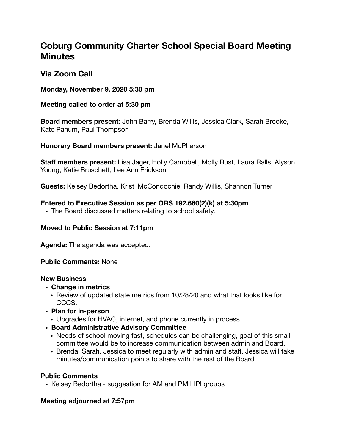# **Coburg Community Charter School Special Board Meeting Minutes**

# **Via Zoom Call**

**Monday, November 9, 2020 5:30 pm** 

#### **Meeting called to order at 5:30 pm**

**Board members present:** John Barry, Brenda Willis, Jessica Clark, Sarah Brooke, Kate Panum, Paul Thompson

**Honorary Board members present:** Janel McPherson

**Staff members present:** Lisa Jager, Holly Campbell, Molly Rust, Laura Ralls, Alyson Young, Katie Bruschett, Lee Ann Erickson

**Guests:** Kelsey Bedortha, Kristi McCondochie, Randy Willis, Shannon Turner

#### **Entered to Executive Session as per ORS 192.660(2)(k) at 5:30pm**

• The Board discussed matters relating to school safety.

## **Moved to Public Session at 7:11pm**

**Agenda:** The agenda was accepted.

#### **Public Comments:** None

#### **New Business**

- **• Change in metrics** 
	- Review of updated state metrics from 10/28/20 and what that looks like for CCCS.
- **• Plan for in-person** 
	- Upgrades for HVAC, internet, and phone currently in process
- **• Board Administrative Advisory Committee** 
	- Needs of school moving fast, schedules can be challenging, goal of this small committee would be to increase communication between admin and Board.
	- Brenda, Sarah, Jessica to meet regularly with admin and staff. Jessica will take minutes/communication points to share with the rest of the Board.

## **Public Comments**

• Kelsey Bedortha - suggestion for AM and PM LIPI groups

## **Meeting adjourned at 7:57pm**